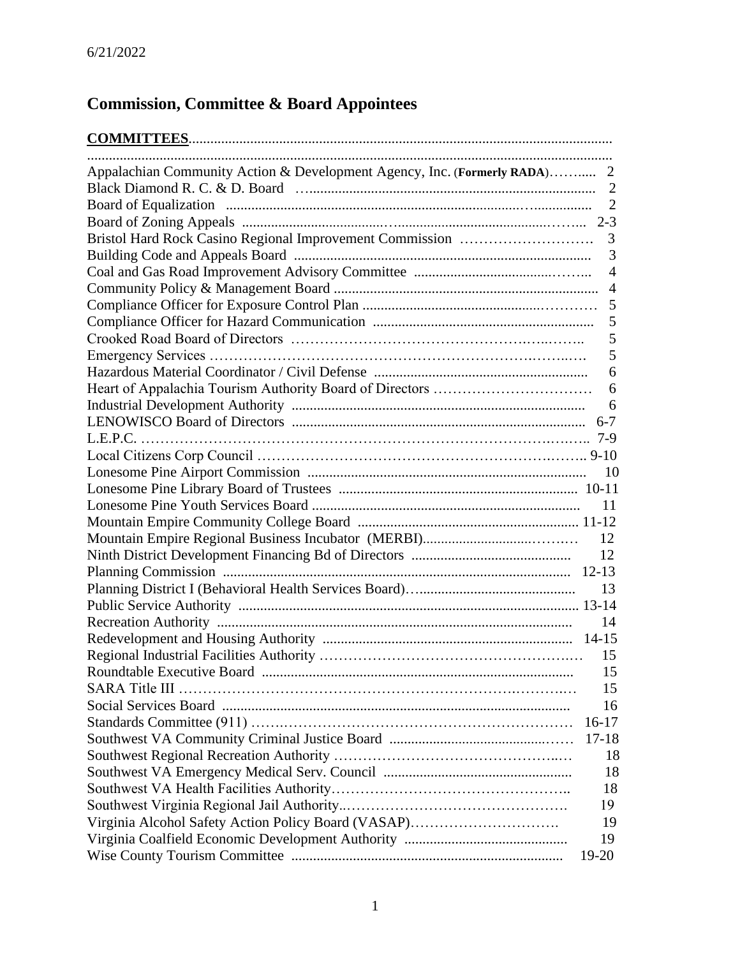### **Commission, Committee & Board Appointees**

| Appalachian Community Action & Development Agency, Inc. (Formerly RADA)<br>2 |
|------------------------------------------------------------------------------|
| $\overline{2}$                                                               |
| $\overline{2}$                                                               |
|                                                                              |
| 3                                                                            |
| 3                                                                            |
| $\overline{4}$                                                               |
| $\overline{4}$                                                               |
| 5                                                                            |
| 5                                                                            |
| 5                                                                            |
| 5                                                                            |
| 6                                                                            |
| 6                                                                            |
| 6                                                                            |
|                                                                              |
|                                                                              |
|                                                                              |
| 10                                                                           |
|                                                                              |
|                                                                              |
| 11                                                                           |
|                                                                              |
| 12                                                                           |
| 12                                                                           |
|                                                                              |
| 13                                                                           |
|                                                                              |
| 14                                                                           |
| $14 - 15$                                                                    |
|                                                                              |
| 15                                                                           |
| SARA Title III<br>15                                                         |
| 16                                                                           |
| $16-17$                                                                      |
| $17 - 18$                                                                    |
| 18                                                                           |
| 18                                                                           |
| 18                                                                           |
| 19                                                                           |
| Virginia Alcohol Safety Action Policy Board (VASAP)<br>19                    |
| 19                                                                           |
| 19-20                                                                        |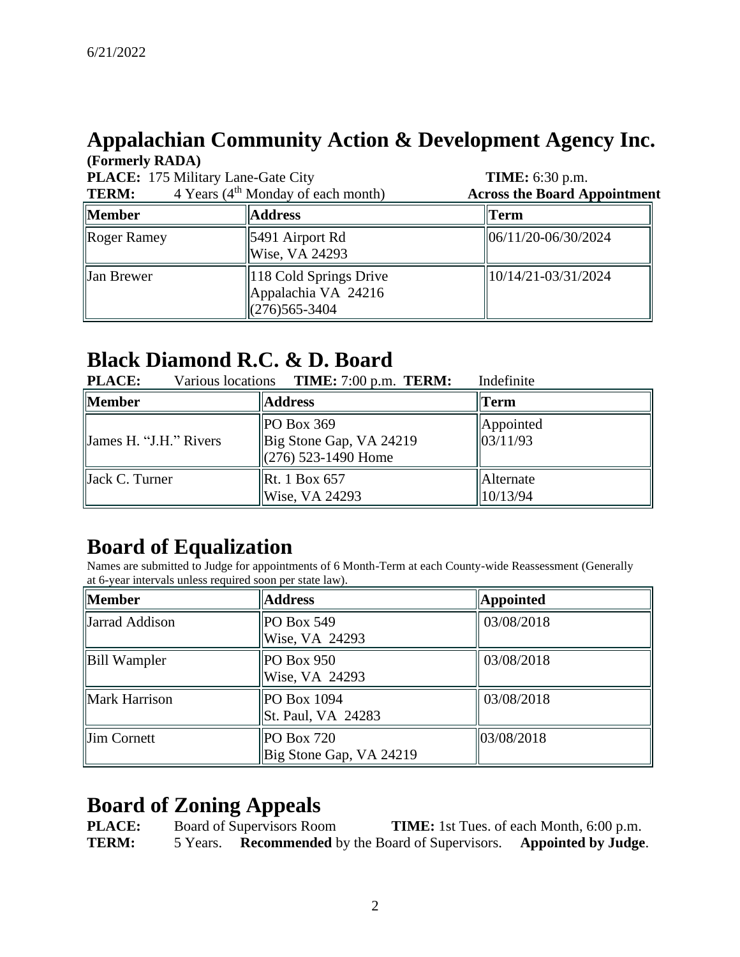#### **Appalachian Community Action & Development Agency Inc. (Formerly RADA)**

| $(1 \text{ minup})$ $\mathbf{N}\mathbf{D}\mathbf{N}$<br>PLACE: 175 Military Lane-Gate City<br>4 Years (4 <sup>th</sup> Monday of each month)<br><b>TERM:</b> |                                                                   | <b>TIME:</b> 6:30 p.m.<br><b>Across the Board Appointment</b> |
|--------------------------------------------------------------------------------------------------------------------------------------------------------------|-------------------------------------------------------------------|---------------------------------------------------------------|
| <b>Member</b>                                                                                                                                                | <b>Address</b>                                                    | Term                                                          |
| Roger Ramey                                                                                                                                                  | 5491 Airport Rd<br>Wise, VA 24293                                 | 06/11/20-06/30/2024                                           |
| Jan Brewer                                                                                                                                                   | 118 Cold Springs Drive<br>Appalachia VA 24216<br>$(276)$ 565-3404 | 10/14/21-03/31/2024                                           |

#### **Black Diamond R.C. & D. Board**

| <b>PLACE:</b>              | Various locations <b>TIME:</b> 7:00 p.m. <b>TERM:</b>         | Indefinite             |
|----------------------------|---------------------------------------------------------------|------------------------|
| Member                     | <b>Address</b>                                                | Term                   |
| James H. "J.H." Rivers     | POBox 369<br>Big Stone Gap, VA 24219<br>$(276)$ 523-1490 Home | Appointed<br> 03/11/93 |
| $\parallel$ Jack C. Turner | <b>Rt.</b> 1 Box 657<br>Wise, VA 24293                        | Alternate<br>10/13/94  |

# **Board of Equalization**

Names are submitted to Judge for appointments of 6 Month-Term at each County-wide Reassessment (Generally at 6-year intervals unless required soon per state law).

| <b>Member</b>  | <b>Address</b>                        | <b>Appointed</b> |
|----------------|---------------------------------------|------------------|
| Jarrad Addison | PO Box 549<br>Wise, VA 24293          | 03/08/2018       |
| Bill Wampler   | <b>PO Box 950</b><br>Wise, VA 24293   | 03/08/2018       |
| Mark Harrison  | POBox 1094<br>St. Paul, VA 24283      | 03/08/2018       |
| Jim Cornett    | PO Box 720<br>Big Stone Gap, VA 24219 | 03/08/2018       |

# **Board of Zoning Appeals<br>PLACE:** Board of Supervisors Room

**PLACE:** Board of Supervisors Room **TIME:** 1st Tues. of each Month, 6:00 p.m. **TERM:** 5 Years. **Recommended** by the Board of Supervisors. **Appointed by Judge**.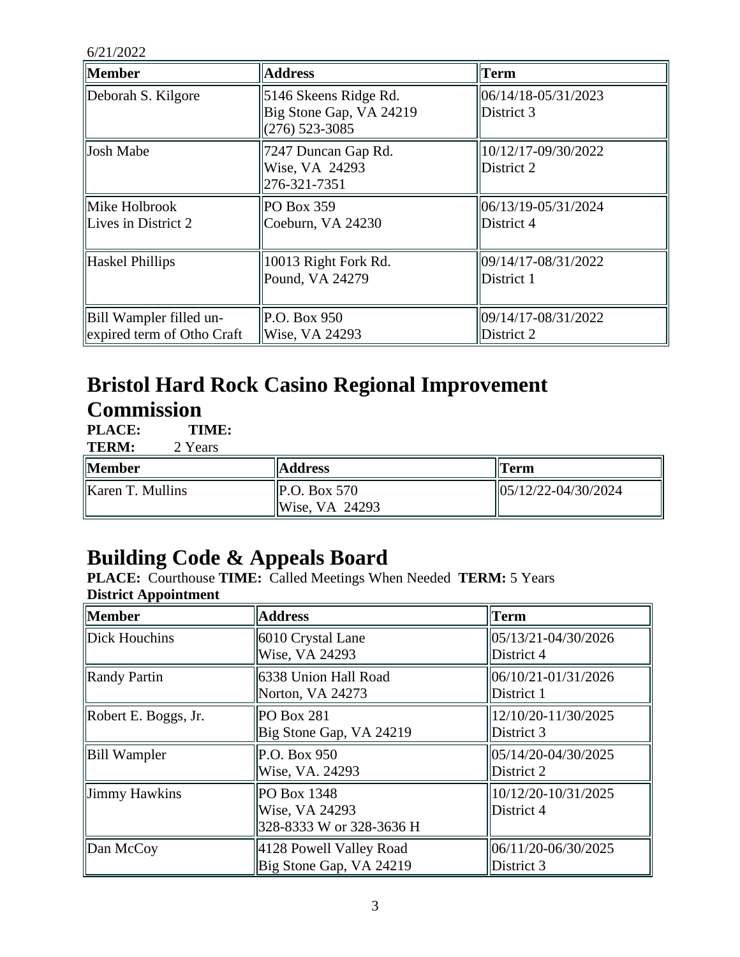| <b>Member</b>                                         | <b>Address</b>                                                       | Term                              |
|-------------------------------------------------------|----------------------------------------------------------------------|-----------------------------------|
| Deborah S. Kilgore                                    | 5146 Skeens Ridge Rd.<br>Big Stone Gap, VA 24219<br>$(276)$ 523-3085 | 06/14/18-05/31/2023<br>District 3 |
| Josh Mabe                                             | 7247 Duncan Gap Rd.<br>Wise, VA 24293<br>276-321-7351                | 10/12/17-09/30/2022<br>District 2 |
| Mike Holbrook<br>Lives in District 2                  | PO Box 359<br>Coeburn, VA 24230                                      | 06/13/19-05/31/2024<br>District 4 |
| Haskel Phillips                                       | 10013 Right Fork Rd.<br>Pound, VA 24279                              | 09/14/17-08/31/2022<br>District 1 |
| Bill Wampler filled un-<br>expired term of Otho Craft | P.O. Box 950<br>Wise, VA 24293                                       | 09/14/17-08/31/2022<br>District 2 |

#### **Bristol Hard Rock Casino Regional Improvement Commission**

**PLACE: TIME:**<br>**TERM:** 2 Years

**TERM:** 

| Member           | <b>Address</b>                                      | Term                    |
|------------------|-----------------------------------------------------|-------------------------|
| Karen T. Mullins | $\vert$ P.O. Box 570<br>$\vert\vert$ Wise, VA 24293 | $  05/12/22-04/30/2024$ |

# **Building Code & Appeals Board**

**PLACE:** Courthouse **TIME:** Called Meetings When Needed **TERM:** 5 Years **District Appointment**

| <b>Member</b>        | <b>Address</b>                                            | <b>Term</b>                       |
|----------------------|-----------------------------------------------------------|-----------------------------------|
| Dick Houchins        | 6010 Crystal Lane<br>Wise, VA 24293                       | 05/13/21-04/30/2026<br>District 4 |
| <b>Randy Partin</b>  | 6338 Union Hall Road<br>Norton, VA 24273                  | 06/10/21-01/31/2026<br>District 1 |
| Robert E. Boggs, Jr. | <b>PO Box 281</b><br>Big Stone Gap, VA 24219              | 12/10/20-11/30/2025<br>District 3 |
| <b>Bill Wampler</b>  | P.O. Box 950<br>Wise, VA. 24293                           | 05/14/20-04/30/2025<br>District 2 |
| Jimmy Hawkins        | PO Box 1348<br>Wise, VA 24293<br>328-8333 W or 328-3636 H | 10/12/20-10/31/2025<br>District 4 |
| $\Delta$ Dan McCoy   | 4128 Powell Valley Road<br>Big Stone Gap, VA 24219        | 06/11/20-06/30/2025<br>District 3 |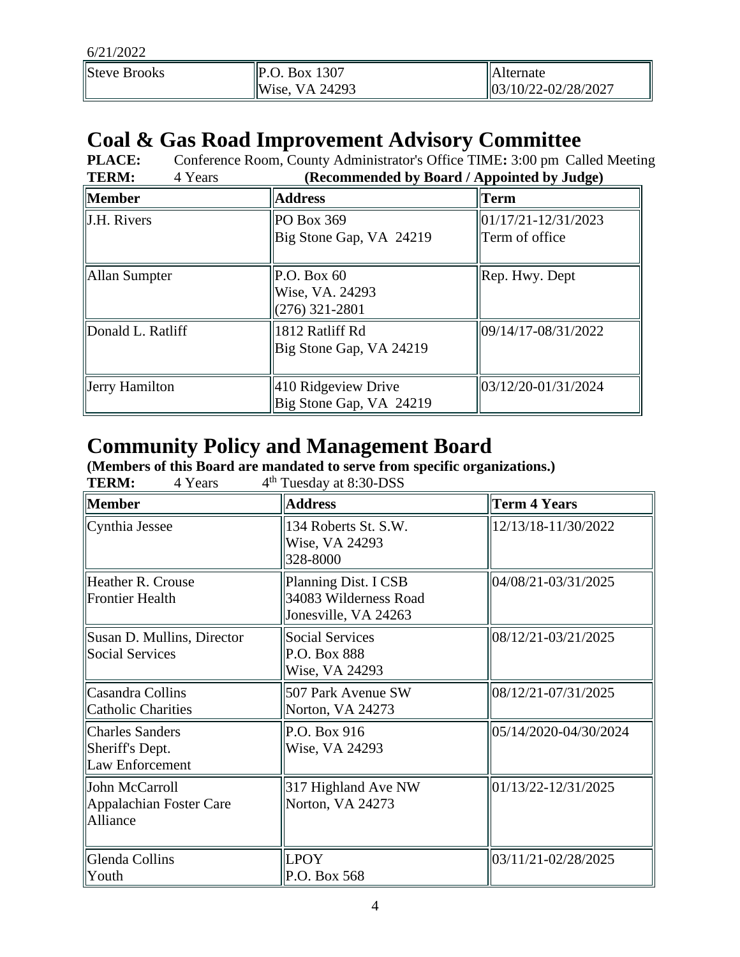| <b>Steve Brooks</b> | $\vert$ P.O. Box 1307      | llAlternate               |
|---------------------|----------------------------|---------------------------|
|                     | $\parallel$ Wise, VA 24293 | $ 03/10/22 - 02/28/2027 $ |

# **Coal & Gas Road Improvement Advisory Committee**

**PLACE:** Conference Room, County Administrator's Office TIME: 3:00 pm Called Meeting<br>
TERM: 4 Years (Recommended by Board / Annointed by Judge) **TERM:** 4 Years **(Recommended by Board / Appointed by Judge)**

|                         | $\alpha$ are commented by $\omega$ out in the point of by $\omega$ and $\omega$ |                                       |
|-------------------------|---------------------------------------------------------------------------------|---------------------------------------|
| <b>Member</b>           | <b>Address</b>                                                                  | Term                                  |
| $\parallel$ J.H. Rivers | PO Box 369<br>Big Stone Gap, VA 24219                                           | 01/17/21-12/31/2023<br>Term of office |
| Allan Sumpter           | P.O. Box 60<br>Wise, VA. 24293<br>$(276)$ 321-2801                              | $ $ Rep. Hwy. Dept                    |
| Donald L. Ratliff       | 1812 Ratliff Rd<br>Big Stone Gap, VA 24219                                      | 09/14/17-08/31/2022                   |
| Jerry Hamilton          | 410 Ridgeview Drive<br>Big Stone Gap, VA 24219                                  | 03/12/20-01/31/2024                   |

# **Community Policy and Management Board**

(Members of this Board are mandated to serve from specific organizations.)<br>
TERM:  $4 \text{ Years}$   $4^{\text{th}}$  Tuesday at 8:30-DSS TERM<sup>.</sup>  $4<sup>th</sup>$  Tuesday at 8:30-DSS

| <b>Member</b>                                                | <b>Address</b>                                                        | <b>Term 4 Years</b>       |
|--------------------------------------------------------------|-----------------------------------------------------------------------|---------------------------|
| Cynthia Jessee                                               | 134 Roberts St. S.W.<br>Wise, VA 24293<br>328-8000                    | 12/13/18-11/30/2022       |
| Heather R. Crouse<br><b>Frontier Health</b>                  | Planning Dist. I CSB<br>34083 Wilderness Road<br>Jonesville, VA 24263 | 04/08/21-03/31/2025       |
| Susan D. Mullins, Director<br><b>Social Services</b>         | <b>Social Services</b><br>P.O. Box 888<br>Wise, VA 24293              | 08/12/21-03/21/2025       |
| Casandra Collins<br><b>Catholic Charities</b>                | 507 Park Avenue SW<br>Norton, VA 24273                                | 08/12/21-07/31/2025       |
| <b>Charles Sanders</b><br>Sheriff's Dept.<br>Law Enforcement | P.O. Box 916<br>Wise, VA 24293                                        | 05/14/2020-04/30/2024     |
| John McCarroll<br>Appalachian Foster Care<br>Alliance        | 317 Highland Ave NW<br>Norton, VA 24273                               | $ 01/13/22 - 12/31/2025 $ |
| Glenda Collins<br>Youth                                      | <b>LPOY</b><br>P.O. Box 568                                           | 03/11/21-02/28/2025       |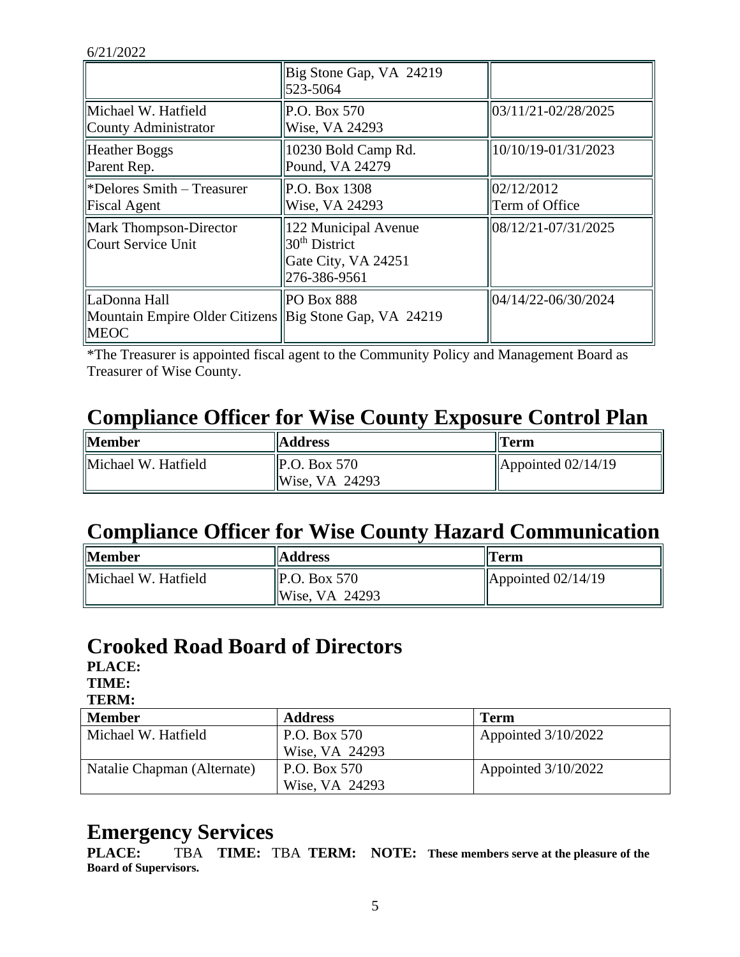|                                                                                       | Big Stone Gap, VA 24219<br>523-5064                                            |                                         |
|---------------------------------------------------------------------------------------|--------------------------------------------------------------------------------|-----------------------------------------|
| Michael W. Hatfield<br>County Administrator                                           | P.O. Box 570<br>Wise, VA 24293                                                 | 03/11/21-02/28/2025                     |
| Heather Boggs<br>Parent Rep.                                                          | 10230 Bold Camp Rd.<br>Pound, VA 24279                                         | 10/10/19-01/31/2023                     |
| $\blacktriangleright$ Pelores Smith – Treasurer<br>Fiscal Agent                       | P.O. Box 1308<br>Wise, VA 24293                                                | $\frac{102}{12/2012}$<br>Term of Office |
| Mark Thompson-Director<br>Court Service Unit                                          | 122 Municipal Avenue<br>$30th$ District<br>Gate City, VA 24251<br>276-386-9561 | 08/12/21-07/31/2025                     |
| LaDonna Hall<br>Mountain Empire Older Citizens Big Stone Gap, VA 24219<br><b>MEOC</b> | PO Box 888                                                                     | 04/14/22-06/30/2024                     |

\*The Treasurer is appointed fiscal agent to the Community Policy and Management Board as Treasurer of Wise County.

# **Compliance Officer for Wise County Exposure Control Plan**

| <b>Member</b>       | <b>Address</b>                                      | Term                       |
|---------------------|-----------------------------------------------------|----------------------------|
| Michael W. Hatfield | $\vert$ P.O. Box 570<br>$\vert\vert$ Wise, VA 24293 | $\Delta$ ppointed 02/14/19 |

# **Compliance Officer for Wise County Hazard Communication**

| <b>Member</b>       | <b>Address</b>                                     | $\ $ Term                  |
|---------------------|----------------------------------------------------|----------------------------|
| Michael W. Hatfield | $\vert$ P.O. Box 570<br>$\parallel$ Wise, VA 24293 | $\Delta$ ppointed 02/14/19 |

#### **Crooked Road Board of Directors**

**PLACE:**

**TIME: TERM:**

| TERRI.                      |                |                       |
|-----------------------------|----------------|-----------------------|
| <b>Member</b>               | <b>Address</b> | Term                  |
| Michael W. Hatfield         | P.O. Box 570   | Appointed $3/10/2022$ |
|                             | Wise, VA 24293 |                       |
| Natalie Chapman (Alternate) | P.O. Box 570   | Appointed $3/10/2022$ |
|                             | Wise, VA 24293 |                       |

#### **Emergency Services**

**PLACE:** TBA **TIME:** TBA **TERM: NOTE: These members serve at the pleasure of the Board of Supervisors.**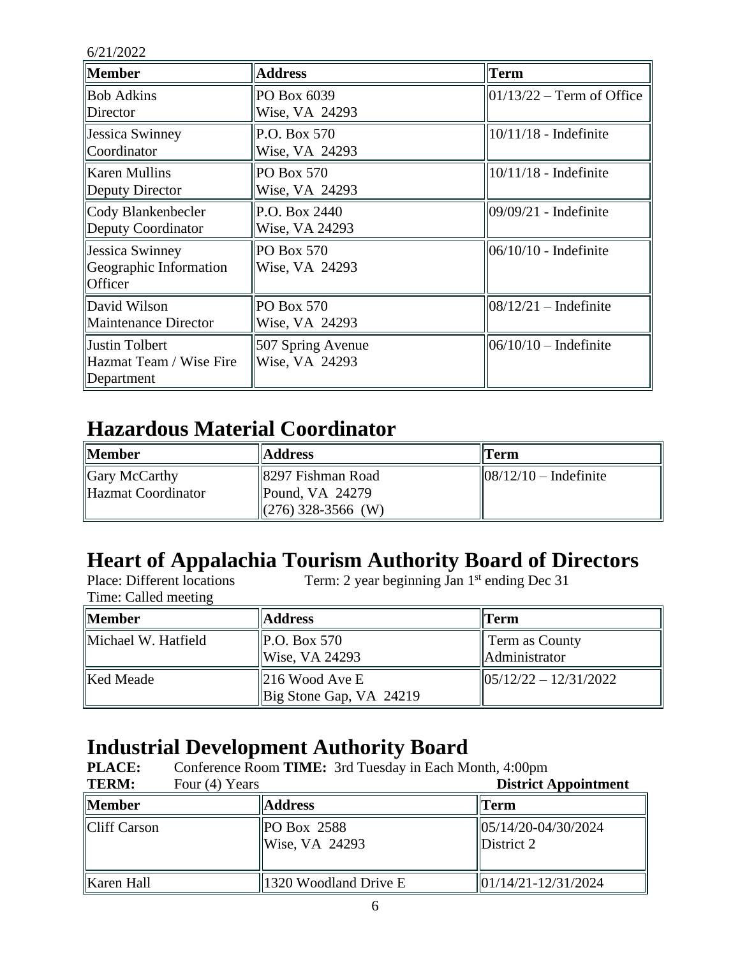| <b>Member</b>                                                      | <b>Address</b>                      | <b>Term</b>                 |
|--------------------------------------------------------------------|-------------------------------------|-----------------------------|
| <b>Bob Adkins</b><br>Director                                      | PO Box 6039<br>Wise, VA 24293       | $01/13/22$ – Term of Office |
| <b>Jessica Swinney</b><br>Coordinator                              | P.O. Box 570<br>Wise, VA 24293      | $10/11/18$ - Indefinite     |
| Karen Mullins<br>Deputy Director                                   | <b>PO Box 570</b><br>Wise, VA 24293 | $10/11/18$ - Indefinite     |
| Cody Blankenbecler<br>Deputy Coordinator                           | P.O. Box 2440<br>Wise, VA 24293     | 09/09/21 - Indefinite       |
| <b>Jessica Swinney</b><br>Geographic Information<br><b>Officer</b> | <b>PO Box 570</b><br>Wise, VA 24293 | $06/10/10$ - Indefinite     |
| David Wilson<br>Maintenance Director                               | <b>PO Box 570</b><br>Wise, VA 24293 | $08/12/21$ – Indefinite     |
| Justin Tolbert<br>Hazmat Team / Wise Fire<br>Department            | 507 Spring Avenue<br>Wise, VA 24293 | $06/10/10$ – Indefinite     |

# **Hazardous Material Coordinator**

| <b>Member</b>                              | <b>Address</b>                                                                      | $  $ Term                         |
|--------------------------------------------|-------------------------------------------------------------------------------------|-----------------------------------|
| $\Box$ Gary McCarthy<br>Hazmat Coordinator | 8297 Fishman Road <br>$\parallel$ Pound, VA 24279<br>$\parallel$ (276) 328-3566 (W) | $\frac{1}{8}$ (12/10 – Indefinite |

# **Heart of Appalachia Tourism Authority Board of Directors**

| Place: Different locations | Term: 2 year beginning Jan 1 <sup>st</sup> ending Dec 31 |                                                          |  |
|----------------------------|----------------------------------------------------------|----------------------------------------------------------|--|
| Time: Called meeting       |                                                          |                                                          |  |
| Member                     | <b>Address</b>                                           | $\Gamma$ erm                                             |  |
| Michael W. Hatfield        | $\vert$ P.O. Box 570<br>Wise, VA 24293                   | <b>Term as County</b><br>Administrator                   |  |
| Ked Meade                  | $\parallel$ 216 Wood Ave E<br>Big Stone Gap, VA 24219    | $\left  \frac{05}{12}{22} - \frac{12}{31}{2022} \right $ |  |

# **Industrial Development Authority Board**

| <b>PLACE:</b> | Conference Room TIME: 3rd Tuesday in Each Month, 4:00pm |                                 |                                                        |
|---------------|---------------------------------------------------------|---------------------------------|--------------------------------------------------------|
| <b>TERM:</b>  | Four (4) Years                                          |                                 | <b>District Appointment</b>                            |
| <b>Member</b> |                                                         | <b>Address</b>                  | <b>Term</b>                                            |
| Cliff Carson  |                                                         | $PO$ Box 2588<br>Wise, VA 24293 | $  05/14/20-04/30/2024$<br>District 2                  |
| Karen Hall    |                                                         | 1320 Woodland Drive E           | $\left  \frac{01}{14/21} - \frac{12}{31/2024} \right $ |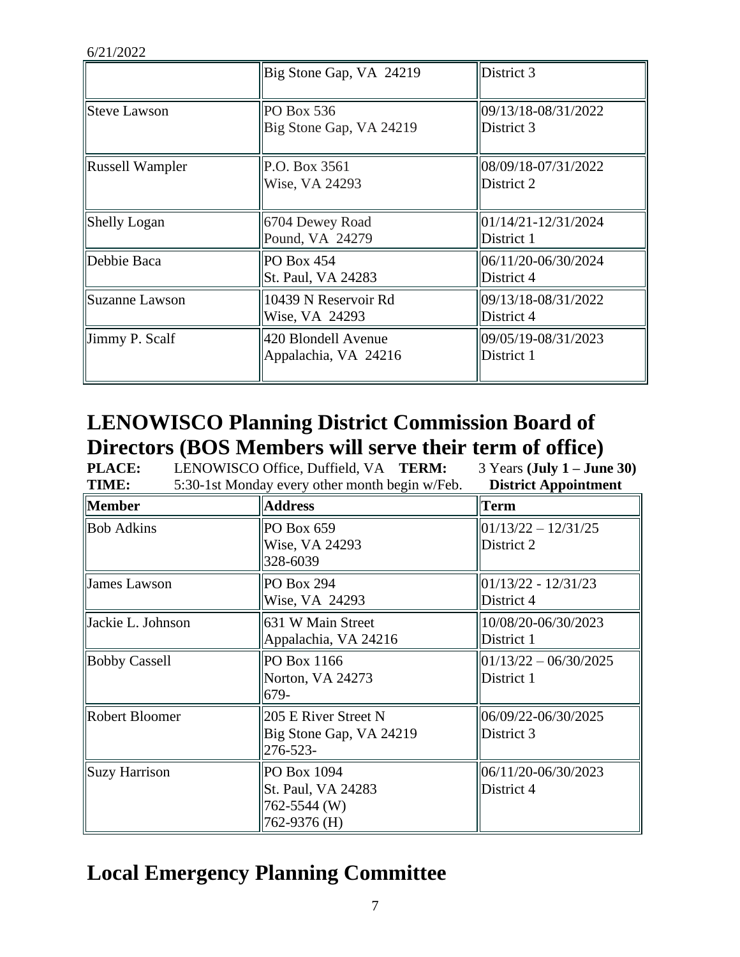|                            | Big Stone Gap, VA 24219                     | District 3                        |
|----------------------------|---------------------------------------------|-----------------------------------|
| Steve Lawson               | PO Box 536<br>Big Stone Gap, VA 24219       | 09/13/18-08/31/2022<br>District 3 |
| Russell Wampler            | P.O. Box 3561<br>Wise, VA 24293             | 08/09/18-07/31/2022<br>District 2 |
| Shelly Logan               | 6704 Dewey Road<br>Pound, VA 24279          | 01/14/21-12/31/2024<br>District 1 |
| Debbie Baca                | PO Box 454<br>St. Paul, VA 24283            | 06/11/20-06/30/2024<br>District 4 |
| Suzanne Lawson             | 10439 N Reservoir Rd<br>Wise, VA 24293      | 09/13/18-08/31/2022<br>District 4 |
| $\parallel$ Jimmy P. Scalf | 420 Blondell Avenue<br>Appalachia, VA 24216 | 09/05/19-08/31/2023<br>District 1 |

# **LENOWISCO Planning District Commission Board of Directors (BOS Members will serve their term of office)**

| <b>PLACE:</b>         | LENOWISCO Office, Duffield, VA TERM:                              | $3$ Years (July $1 -$ June 30)        |
|-----------------------|-------------------------------------------------------------------|---------------------------------------|
| TIME:                 | 5:30-1st Monday every other month begin w/Feb.                    | <b>District Appointment</b>           |
| <b>Member</b>         | <b>Address</b>                                                    | Term                                  |
| <b>Bob Adkins</b>     | PO Box 659<br>Wise, VA 24293<br>328-6039                          | $01/13/22 - 12/31/25$<br>District 2   |
| James Lawson          | PO Box 294<br>Wise, VA 24293                                      | 01/13/22 - 12/31/23<br>District 4     |
| Jackie L. Johnson     | 631 W Main Street<br>Appalachia, VA 24216                         | 10/08/20-06/30/2023<br>District 1     |
| <b>Bobby Cassell</b>  | PO Box 1166<br>Norton, VA 24273<br>679-                           | $01/13/22 - 06/30/2025$<br>District 1 |
| <b>Robert Bloomer</b> | 205 E River Street N<br>Big Stone Gap, VA 24219<br>276-523-       | 06/09/22-06/30/2025<br>District 3     |
| Suzy Harrison         | PO Box 1094<br>St. Paul, VA 24283<br>762-5544 (W)<br>762-9376 (H) | 06/11/20-06/30/2023<br>District 4     |

# **Local Emergency Planning Committee**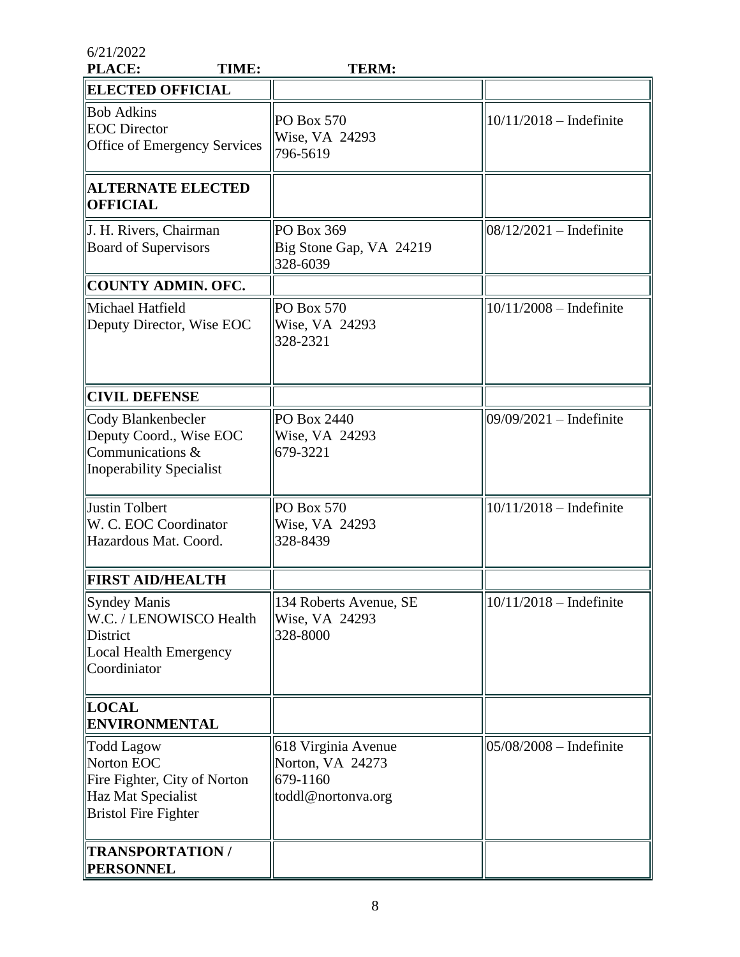| 6/21/2022<br>PLACE:<br>TIME:                                                                                         | <b>TERM:</b>                                                              |                            |
|----------------------------------------------------------------------------------------------------------------------|---------------------------------------------------------------------------|----------------------------|
| <b>ELECTED OFFICIAL</b>                                                                                              |                                                                           |                            |
| <b>Bob Adkins</b><br><b>EOC</b> Director<br>Office of Emergency Services                                             | <b>PO Box 570</b><br>Wise, VA 24293<br>796-5619                           | $10/11/2018$ - Indefinite  |
| <b>ALTERNATE ELECTED</b><br><b>OFFICIAL</b>                                                                          |                                                                           |                            |
| J. H. Rivers, Chairman<br><b>Board of Supervisors</b>                                                                | PO Box 369<br>Big Stone Gap, VA 24219<br>328-6039                         | $08/12/2021$ – Indefinite  |
| <b>COUNTY ADMIN. OFC.</b>                                                                                            |                                                                           |                            |
| Michael Hatfield<br>Deputy Director, Wise EOC                                                                        | PO Box 570<br>Wise, VA 24293<br>328-2321                                  | $10/11/2008 - Indefinite$  |
| <b>CIVIL DEFENSE</b>                                                                                                 |                                                                           |                            |
| Cody Blankenbecler<br>Deputy Coord., Wise EOC<br>Communications $\&$<br>Inoperability Specialist                     | PO Box 2440<br>Wise, VA 24293<br>679-3221                                 | $09/09/2021$ – Indefinite  |
| Justin Tolbert<br>W. C. EOC Coordinator<br>Hazardous Mat. Coord.                                                     | PO Box 570<br>Wise, VA 24293<br>328-8439                                  | $10/11/2018$ – Indefinite  |
| <b>FIRST AID/HEALTH</b>                                                                                              |                                                                           |                            |
| Syndey Manis<br>W.C. / LENOWISCO Health<br>District<br>Local Health Emergency<br>Coordiniator                        | 134 Roberts Avenue, SE<br>Wise, VA 24293<br>328-8000                      | $10/11/2018$ – Indefinite  |
| <b>LOCAL</b><br><b>ENVIRONMENTAL</b>                                                                                 |                                                                           |                            |
| <b>Todd Lagow</b><br>Norton EOC<br>Fire Fighter, City of Norton<br>Haz Mat Specialist<br><b>Bristol Fire Fighter</b> | 618 Virginia Avenue<br>Norton, VA 24273<br>679-1160<br>toddl@nortonva.org | $ 05/08/2008 -$ Indefinite |
| <b>TRANSPORTATION/</b><br><b>PERSONNEL</b>                                                                           |                                                                           |                            |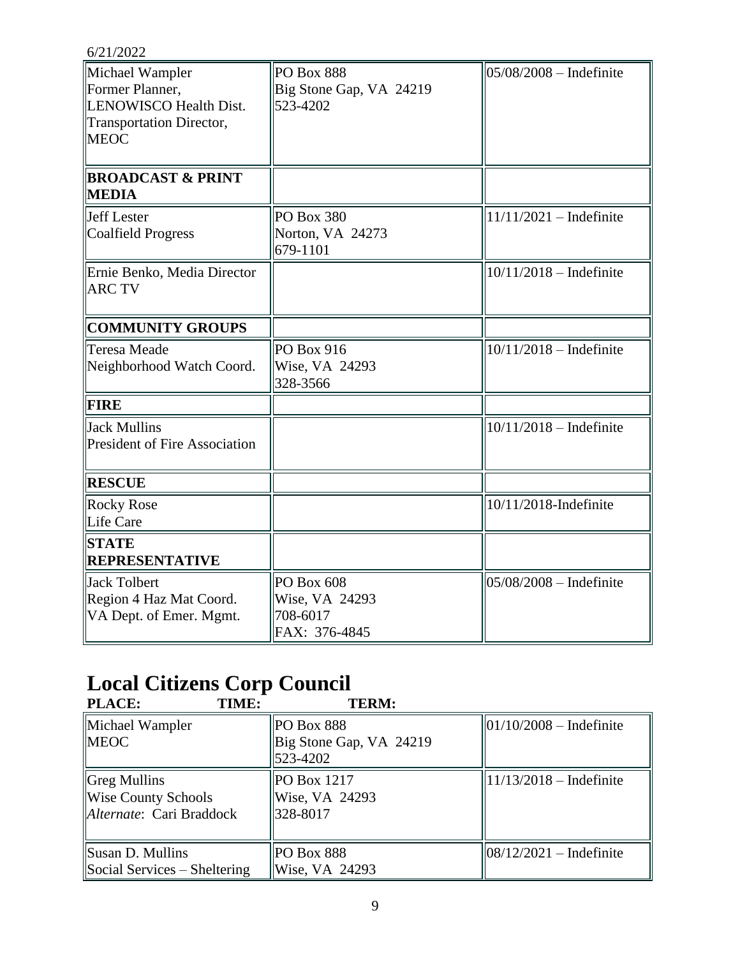| 6/21/2022                                                                                               |                                                           |                           |
|---------------------------------------------------------------------------------------------------------|-----------------------------------------------------------|---------------------------|
| Michael Wampler<br>Former Planner,<br>LENOWISCO Health Dist.<br>Transportation Director,<br><b>MEOC</b> | <b>PO Box 888</b><br>Big Stone Gap, VA 24219<br>523-4202  | $05/08/2008 - Indefinite$ |
| <b>BROADCAST &amp; PRINT</b><br><b>MEDIA</b>                                                            |                                                           |                           |
| Jeff Lester<br>Coalfield Progress                                                                       | <b>PO Box 380</b><br>Norton, VA 24273<br>679-1101         | $11/11/2021$ – Indefinite |
| Ernie Benko, Media Director<br><b>ARC TV</b>                                                            |                                                           | $10/11/2018$ – Indefinite |
| <b>COMMUNITY GROUPS</b>                                                                                 |                                                           |                           |
| Teresa Meade<br>Neighborhood Watch Coord.                                                               | PO Box 916<br>Wise, VA 24293<br>328-3566                  | $10/11/2018$ – Indefinite |
| <b>FIRE</b>                                                                                             |                                                           |                           |
| Jack Mullins<br><b>President of Fire Association</b>                                                    |                                                           | $10/11/2018$ – Indefinite |
| <b>RESCUE</b>                                                                                           |                                                           |                           |
| Rocky Rose<br>Life Care                                                                                 |                                                           | 10/11/2018-Indefinite     |
| <b>STATE</b><br>REPRESENTATIVE                                                                          |                                                           |                           |
| Jack Tolbert<br>Region 4 Haz Mat Coord.<br>VA Dept. of Emer. Mgmt.                                      | PO Box 608<br>Wise, VA 24293<br>708-6017<br>FAX: 376-4845 | $05/08/2008$ - Indefinite |

# **Local Citizens Corp Council**

| <b>PLACE:</b><br>TIME:       | <b>TERM:</b>            |                                     |
|------------------------------|-------------------------|-------------------------------------|
| Michael Wampler              | <b>PO Box 888</b>       | $ 01/10/2008 -$ Indefinite          |
| <b>IMEOC</b>                 | Big Stone Gap, VA 24219 |                                     |
|                              | 523-4202                |                                     |
| Greg Mullins                 | PO Box 1217             | $ 11/13/2018 -$ Indefinite          |
| Wise County Schools          | Wise, VA 24293          |                                     |
| Alternate: Cari Braddock     | 328-8017                |                                     |
|                              |                         |                                     |
| Susan D. Mullins             | <b>PO Box 888</b>       | $\frac{108}{12}{2021}$ – Indefinite |
| Social Services – Sheltering | Wise, VA 24293          |                                     |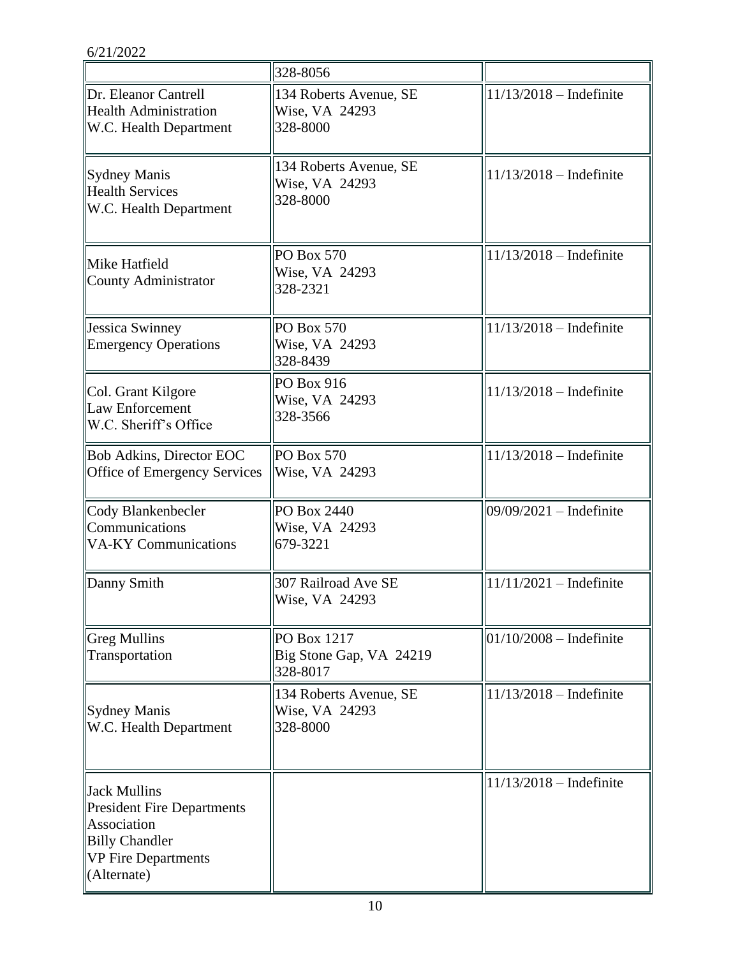|                                                                                                                                 | 328-8056                                             |                           |
|---------------------------------------------------------------------------------------------------------------------------------|------------------------------------------------------|---------------------------|
| Dr. Eleanor Cantrell<br><b>Health Administration</b><br>W.C. Health Department                                                  | 134 Roberts Avenue, SE<br>Wise, VA 24293<br>328-8000 | $11/13/2018$ - Indefinite |
| Sydney Manis<br><b>Health Services</b><br>W.C. Health Department                                                                | 134 Roberts Avenue, SE<br>Wise, VA 24293<br>328-8000 | $11/13/2018$ – Indefinite |
| Mike Hatfield<br>County Administrator                                                                                           | <b>PO Box 570</b><br>Wise, VA 24293<br>328-2321      | $11/13/2018$ – Indefinite |
| Jessica Swinney<br><b>Emergency Operations</b>                                                                                  | PO Box 570<br>Wise, VA 24293<br>328-8439             | $11/13/2018$ - Indefinite |
| Col. Grant Kilgore<br>Law Enforcement<br>W.C. Sheriff's Office                                                                  | PO Box 916<br>Wise, VA 24293<br>328-3566             | $11/13/2018$ – Indefinite |
| Bob Adkins, Director EOC<br>Office of Emergency Services                                                                        | PO Box 570<br>Wise, VA 24293                         | $11/13/2018$ - Indefinite |
| Cody Blankenbecler<br>Communications<br><b>VA-KY Communications</b>                                                             | PO Box 2440<br>Wise, VA 24293<br>679-3221            | 09/09/2021 - Indefinite   |
| Danny Smith                                                                                                                     | 307 Railroad Ave SE<br>Wise, VA 24293                | $11/11/2021$ – Indefinite |
| <b>Greg Mullins</b><br>Transportation                                                                                           | PO Box 1217<br>Big Stone Gap, VA 24219<br>328-8017   | $01/10/2008 - Indefinite$ |
| Sydney Manis<br>W.C. Health Department                                                                                          | 134 Roberts Avenue, SE<br>Wise, VA 24293<br>328-8000 | $11/13/2018$ – Indefinite |
| Jack Mullins<br><b>President Fire Departments</b><br>Association<br><b>Billy Chandler</b><br>VP Fire Departments<br>(Alternate) |                                                      | $11/13/2018$ – Indefinite |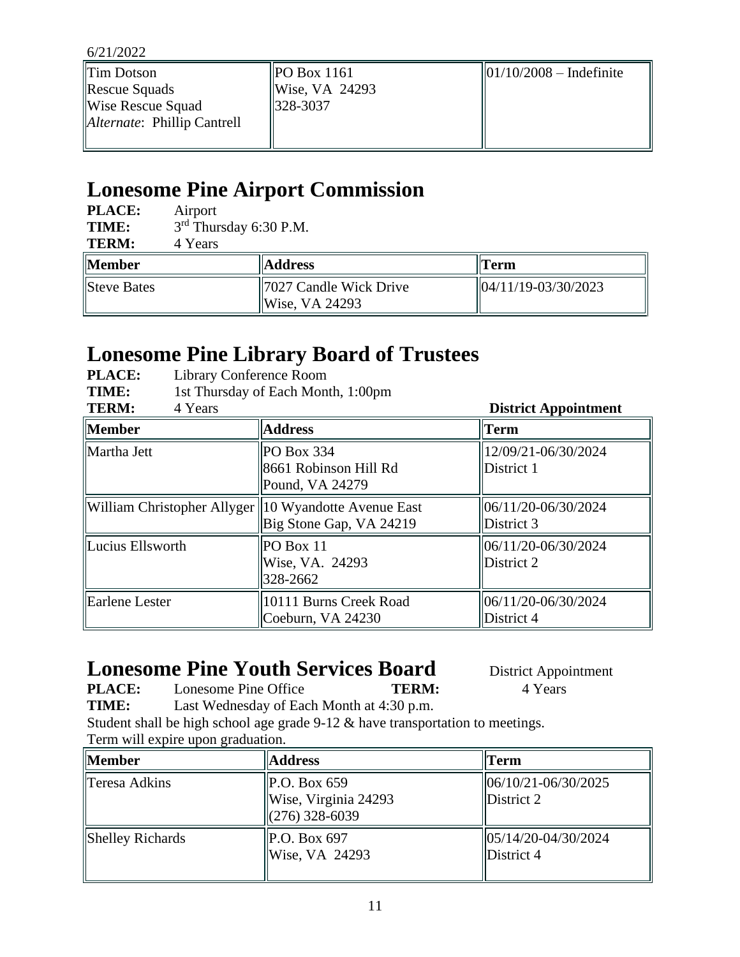| $\ $ Tim Dotson                     | POBox 1161                 | $  01/10/2008 - Indefinite$ |
|-------------------------------------|----------------------------|-----------------------------|
| $\ $ Rescue Squads                  | $\parallel$ Wise, VA 24293 |                             |
| Wise Rescue Squad                   | $\parallel$ 328-3037       |                             |
| <i>Alternate</i> : Phillip Cantrell |                            |                             |
|                                     |                            |                             |

# **Lonesome Pine Airport Commission**

| <b>PLACE:</b><br>TIME:<br><b>TERM:</b> | Airport<br>4 Years | $3rd$ Thursday 6:30 P.M.                              |                                          |
|----------------------------------------|--------------------|-------------------------------------------------------|------------------------------------------|
| <b>Member</b>                          |                    | <b>Address</b>                                        | Term                                     |
| Steve Bates                            |                    | 7027 Candle Wick Drive<br>$\vert\vert$ Wise, VA 24293 | $\frac{104}{11/19} - \frac{03}{30/2023}$ |

# **Lonesome Pine Library Board of Trustees**

| <b>PLACE:</b> | Library Conference Room            |
|---------------|------------------------------------|
| TIME:         | 1st Thursday of Each Month, 1:00pm |
| <b>TERM:</b>  | 4 Years                            |

| <b>TERM:</b><br>4 Years                                |                                                          | <b>District Appointment</b>       |
|--------------------------------------------------------|----------------------------------------------------------|-----------------------------------|
| <b>Member</b>                                          | <b>Address</b>                                           | <b>Term</b>                       |
| Martha Jett                                            | $PO$ Box 334<br>8661 Robinson Hill Rd<br>Pound, VA 24279 | 12/09/21-06/30/2024<br>District 1 |
| William Christopher Allyger   10 Wyandotte Avenue East | Big Stone Gap, VA 24219                                  | 06/11/20-06/30/2024<br>District 3 |
| Lucius Ellsworth                                       | $PO$ Box 11<br>Wise, VA. 24293<br>328-2662               | 06/11/20-06/30/2024<br>District 2 |
| Earlene Lester                                         | 10111 Burns Creek Road<br>Coeburn, VA 24230              | 06/11/20-06/30/2024<br>District 4 |

# **Lonesome Pine Youth Services Board** District Appointment

**PLACE:** Lonesome Pine Office **TERM:** 4 Years

**TIME:** Last Wednesday of Each Month at 4:30 p.m.

Student shall be high school age grade 9-12 & have transportation to meetings. Term will expire upon graduation.

| Member           | <b>Address</b>                                                           | Term                              |
|------------------|--------------------------------------------------------------------------|-----------------------------------|
| Teresa Adkins    | $\vert$ P.O. Box 659<br>Wise, Virginia 24293<br>$\frac{1}{276}$ 328-6039 | 06/10/21-06/30/2025<br>District 2 |
| Shelley Richards | P.O. Box 697<br>Wise, VA 24293                                           | 05/14/20-04/30/2024<br>District 4 |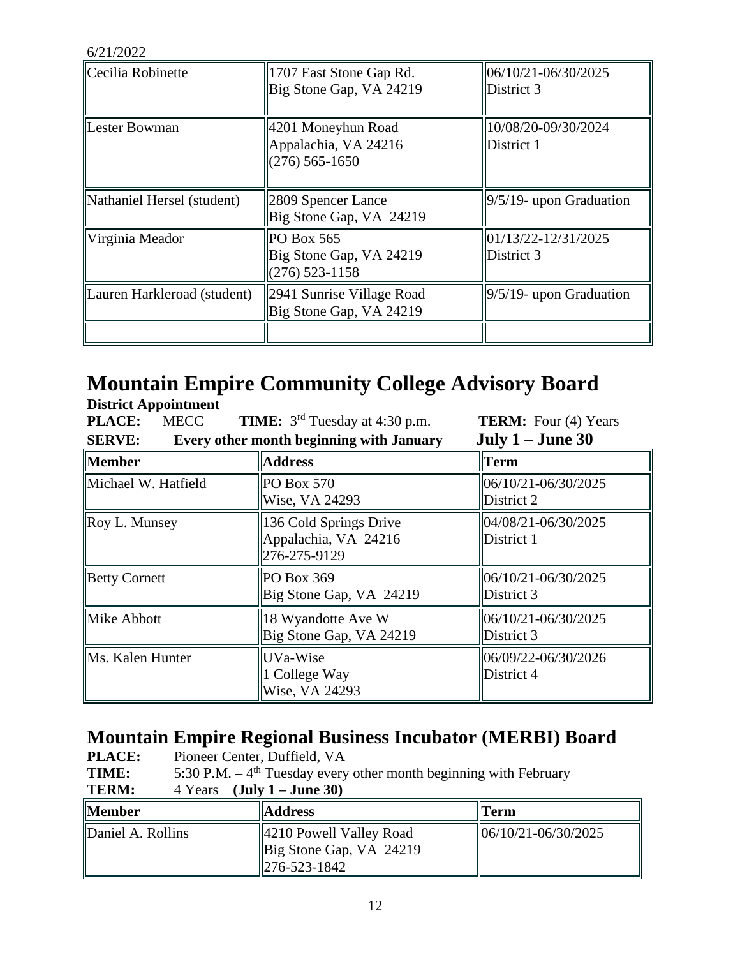| Cecilia Robinette           | 1707 East Stone Gap Rd.<br>Big Stone Gap, VA 24219               | 06/10/21-06/30/2025<br>District 3     |
|-----------------------------|------------------------------------------------------------------|---------------------------------------|
| Lester Bowman               | 4201 Moneyhun Road<br>Appalachia, VA 24216<br>$(276)$ 565-1650   | 10/08/20-09/30/2024<br>District 1     |
| Nathaniel Hersel (student)  | 2809 Spencer Lance<br>Big Stone Gap, VA 24219                    | $9/5/19$ - upon Graduation            |
| Virginia Meador             | <b>PO Box 565</b><br>Big Stone Gap, VA 24219<br>$(276)$ 523-1158 | $01/13/22 - 12/31/2025$<br>District 3 |
| Lauren Harkleroad (student) | 2941 Sunrise Village Road<br>Big Stone Gap, VA 24219             | $9/5/19$ - upon Graduation            |
|                             |                                                                  |                                       |

# **Mountain Empire Community College Advisory Board**

| <b>District Appointment</b>                                                     |                                                                |                                        |  |
|---------------------------------------------------------------------------------|----------------------------------------------------------------|----------------------------------------|--|
| <b>PLACE:</b><br><b>MECC</b>                                                    | <b>TIME:</b> 3 <sup>rd</sup> Tuesday at 4:30 p.m.              | <b>TERM:</b> Four (4) Years            |  |
| July $1 -$ June 30<br>Every other month beginning with January<br><b>SERVE:</b> |                                                                |                                        |  |
| $\ $ Member                                                                     | <b>Address</b>                                                 | <b>Term</b>                            |  |
| Michael W. Hatfield                                                             | PO Box 570<br>Wise, VA 24293                                   | $ 06/10/21 - 06/30/2025$<br>District 2 |  |
| Roy L. Munsey                                                                   | 136 Cold Springs Drive<br>Appalachia, VA 24216<br>276-275-9129 | 04/08/21-06/30/2025<br>District 1      |  |
| <b>Betty Cornett</b>                                                            | PO Box 369<br>Big Stone Gap, VA 24219                          | 06/10/21-06/30/2025<br>District 3      |  |
| Mike Abbott                                                                     | 18 Wyandotte Ave W<br>Big Stone Gap, VA 24219                  | 06/10/21-06/30/2025<br>District 3      |  |
| Ms. Kalen Hunter                                                                | UVa-Wise<br>1 College Way<br>Wise, VA 24293                    | 06/09/22-06/30/2026<br>District 4      |  |

### **Mountain Empire Regional Business Incubator (MERBI) Board**

| <b>PLACE:</b>     | Pioneer Center, Duffield, VA |                                                                                                         |                                  |
|-------------------|------------------------------|---------------------------------------------------------------------------------------------------------|----------------------------------|
| <b>TIME:</b>      |                              | 5:30 P.M. $-4$ <sup>th</sup> Tuesday every other month beginning with February                          |                                  |
| <b>TERM:</b>      | 4 Years                      | $(\mathrm{July\ 1 - June\ 30})$                                                                         |                                  |
| <b>Member</b>     |                              | <b>Address</b>                                                                                          | Term                             |
| Daniel A. Rollins |                              | $\parallel$ 4210 Powell Valley Road<br>$\left\vert$ Big Stone Gap, VA 24219<br>$\parallel$ 276-523-1842 | $\frac{106}{1021 - 06}{30/2025}$ |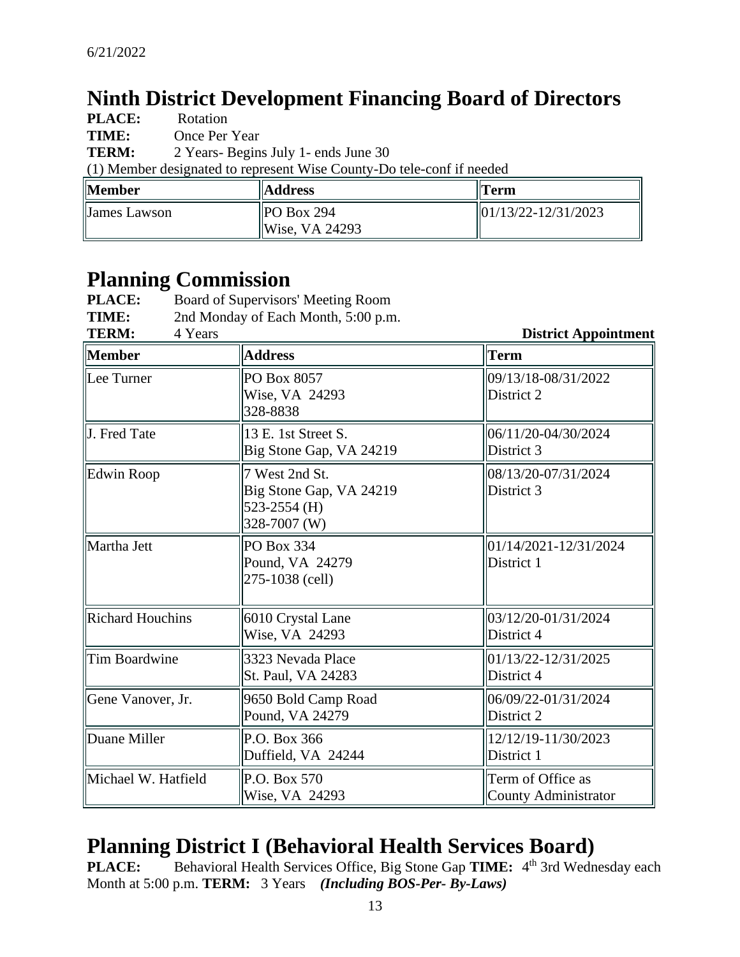## **Ninth District Development Financing Board of Directors**

| <b>PLACE:</b> | Rotation                                                              |  |
|---------------|-----------------------------------------------------------------------|--|
| TIME:         | Once Per Year                                                         |  |
| <b>TERM:</b>  | 2 Years- Begins July 1- ends June 30                                  |  |
|               | (1) Member designated to represent Wise County-Do tele-conf if needed |  |
|               |                                                                       |  |

| Member       | <b>Address</b>                   | <b>Term</b>                                            |
|--------------|----------------------------------|--------------------------------------------------------|
| James Lawson | $ $ PO Box 294<br>Wise, VA 24293 | $\left  \frac{01}{13/22} - \frac{12}{31/2023} \right $ |

# **Planning Commission**

| <b>PLACE:</b> | Board of Supervisors' Meeting Room  |                             |
|---------------|-------------------------------------|-----------------------------|
| TIME:         | 2nd Monday of Each Month, 5:00 p.m. |                             |
| <b>TERM:</b>  | 4 Years                             | <b>District Appointment</b> |

| <b>Member</b>           | <b>Address</b>                                                            | <b>Term</b>                                      |
|-------------------------|---------------------------------------------------------------------------|--------------------------------------------------|
| Lee Turner              | PO Box 8057<br>Wise, VA 24293<br>328-8838                                 | 09/13/18-08/31/2022<br>District 2                |
| J. Fred Tate            | 13 E. 1st Street S.<br>Big Stone Gap, VA 24219                            | 06/11/20-04/30/2024<br>District 3                |
| Edwin Roop              | 7 West 2nd St.<br>Big Stone Gap, VA 24219<br>523-2554 (H)<br>328-7007 (W) | 08/13/20-07/31/2024<br>District 3                |
| Martha Jett             | PO Box 334<br>Pound, VA 24279<br>275-1038 (cell)                          | 01/14/2021-12/31/2024<br>District 1              |
| <b>Richard Houchins</b> | 6010 Crystal Lane<br>Wise, VA 24293                                       | 03/12/20-01/31/2024<br>District 4                |
| Tim Boardwine           | 3323 Nevada Place<br>St. Paul, VA 24283                                   | 01/13/22-12/31/2025<br>District 4                |
| Gene Vanover, Jr.       | 9650 Bold Camp Road<br>Pound, VA 24279                                    | 06/09/22-01/31/2024<br>District 2                |
| Duane Miller            | P.O. Box 366<br>Duffield, VA 24244                                        | 12/12/19-11/30/2023<br>District 1                |
| Michael W. Hatfield     | P.O. Box 570<br>Wise, VA 24293                                            | Term of Office as<br><b>County Administrator</b> |

# **Planning District I (Behavioral Health Services Board)**

**PLACE:** Behavioral Health Services Office, Big Stone Gap TIME: 4<sup>th</sup> 3rd Wednesday each Month at 5:00 p.m. **TERM:** 3 Years *(Including BOS-Per- By-Laws)*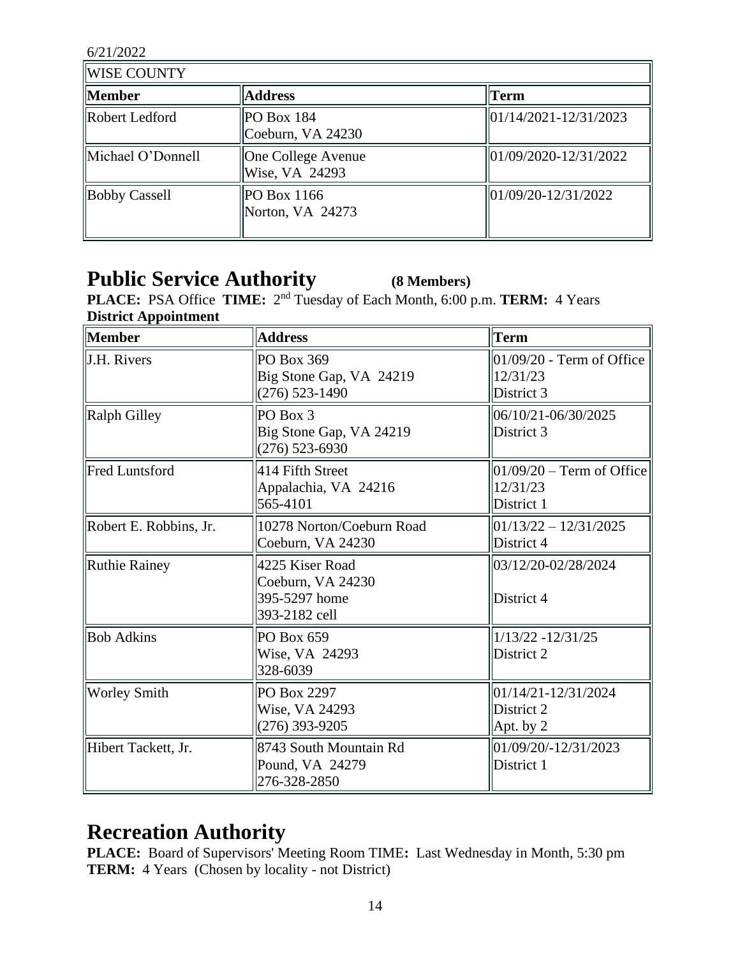| WISE COUNTY          |                                             |                                             |  |
|----------------------|---------------------------------------------|---------------------------------------------|--|
| <b>Member</b>        | <b>Address</b>                              | Term                                        |  |
| Robert Ledford       | $ $ PO Box 184<br>Coeburn, VA 24230         | $\frac{101}{14/2021} - \frac{12}{31/2023}$  |  |
| Michael O'Donnell    | <b>One College Avenue</b><br>Wise, VA 24293 | $\frac{101}{09/2020} - \frac{12}{31/2022}$  |  |
| <b>Bobby Cassell</b> | POBox 1166<br>Norton, VA 24273              | $\frac{1}{01}{09/20} - \frac{12}{31}{2022}$ |  |

### **Public Service Authority (8 Members)**

**PLACE:** PSA Office **TIME:**  $2^{nd}$  Tuesday of Each Month, 6:00 p.m. **TERM:** 4 Years **District Appointment**

| Member                 | <b>Address</b>                                                         | <b>Term</b>                                                    |  |
|------------------------|------------------------------------------------------------------------|----------------------------------------------------------------|--|
| <b>J.H. Rivers</b>     | PO Box 369<br>Big Stone Gap, VA 24219<br>$(276)$ 523-1490              | $01/09/20$ - Term of Office<br>12/31/23<br>District 3          |  |
| <b>Ralph Gilley</b>    | PO Box 3<br>Big Stone Gap, VA 24219<br>$(276)$ 523-6930                | 06/10/21-06/30/2025<br>District 3                              |  |
| <b>Fred Luntsford</b>  | 414 Fifth Street<br>Appalachia, VA 24216<br>565-4101                   | $ 01/09/20 - \text{Term of Office} $<br>12/31/23<br>District 1 |  |
| Robert E. Robbins, Jr. | 10278 Norton/Coeburn Road<br>Coeburn, VA 24230                         | $ 01/13/22 - 12/31/2025 $<br>District 4                        |  |
| Ruthie Rainey          | 4225 Kiser Road<br>Coeburn, VA 24230<br>395-5297 home<br>393-2182 cell | 03/12/20-02/28/2024<br>District 4                              |  |
| <b>Bob Adkins</b>      | PO Box 659<br>Wise, VA 24293<br>328-6039                               | 1/13/22 -12/31/25<br>District 2                                |  |
| <b>Worley Smith</b>    | PO Box 2297<br>Wise, VA 24293<br>$(276)$ 393-9205                      | 01/14/21-12/31/2024<br>District 2<br>Apt. by 2                 |  |
| Hibert Tackett, Jr.    | 8743 South Mountain Rd<br>Pound, VA 24279<br>276-328-2850              | 01/09/20/-12/31/2023<br>District 1                             |  |

## **Recreation Authority**

**PLACE:** Board of Supervisors' Meeting Room TIME**:** Last Wednesday in Month, 5:30 pm **TERM:** 4 Years (Chosen by locality - not District)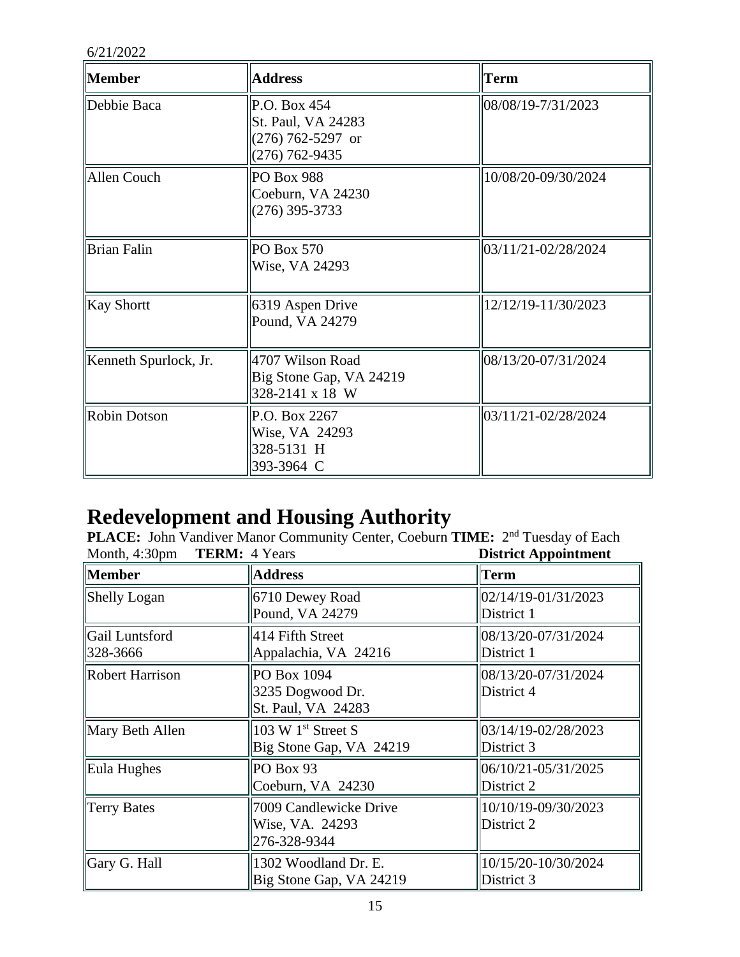| <b>Member</b>         | <b>Address</b>                                                                | Term                |
|-----------------------|-------------------------------------------------------------------------------|---------------------|
| Debbie Baca           | P.O. Box 454<br>St. Paul, VA 24283<br>$(276)$ 762-5297 or<br>$(276)$ 762-9435 | 08/08/19-7/31/2023  |
| Allen Couch           | PO Box 988<br>Coeburn, VA 24230<br>$(276)$ 395-3733                           | 10/08/20-09/30/2024 |
| <b>Brian Falin</b>    | $PO$ Box 570<br>Wise, VA 24293                                                | 03/11/21-02/28/2024 |
| <b>Kay Shortt</b>     | 6319 Aspen Drive<br>Pound, VA 24279                                           | 12/12/19-11/30/2023 |
| Kenneth Spurlock, Jr. | 4707 Wilson Road<br>Big Stone Gap, VA 24219<br>328-2141 x 18 W                | 08/13/20-07/31/2024 |
| <b>Robin Dotson</b>   | P.O. Box 2267<br>Wise, VA 24293<br>328-5131 H<br>393-3964 C                   | 03/11/21-02/28/2024 |

### **Redevelopment and Housing Authority**

PLACE: John Vandiver Manor Community Center, Coeburn TIME: 2<sup>nd</sup> Tuesday of Each Month, 4:30pm **TERM:** 4 Years **District Appointment**

| $MUIII, +. JUUIII$<br>1 <b>EIVII.</b> + Teap<br>при карронцинсти |                                                           |                                   |  |
|------------------------------------------------------------------|-----------------------------------------------------------|-----------------------------------|--|
| <b>Member</b>                                                    | <b>Address</b>                                            | <b>Term</b>                       |  |
| Shelly Logan                                                     | 6710 Dewey Road<br>Pound, VA 24279                        | 02/14/19-01/31/2023<br>District 1 |  |
| Gail Luntsford<br>328-3666                                       | 414 Fifth Street<br>Appalachia, VA 24216                  | 08/13/20-07/31/2024<br>District 1 |  |
| Robert Harrison                                                  | PO Box 1094<br>3235 Dogwood Dr.<br>St. Paul, VA 24283     | 08/13/20-07/31/2024<br>District 4 |  |
| Mary Beth Allen                                                  | 103 W $1st$ Street S<br>Big Stone Gap, VA 24219           | 03/14/19-02/28/2023<br>District 3 |  |
| Eula Hughes                                                      | PO Box 93<br>Coeburn, VA 24230                            | 06/10/21-05/31/2025<br>District 2 |  |
| Terry Bates                                                      | 7009 Candlewicke Drive<br>Wise, VA. 24293<br>276-328-9344 | 10/10/19-09/30/2023<br>District 2 |  |
| Gary G. Hall                                                     | 1302 Woodland Dr. E.<br>Big Stone Gap, VA 24219           | 10/15/20-10/30/2024<br>District 3 |  |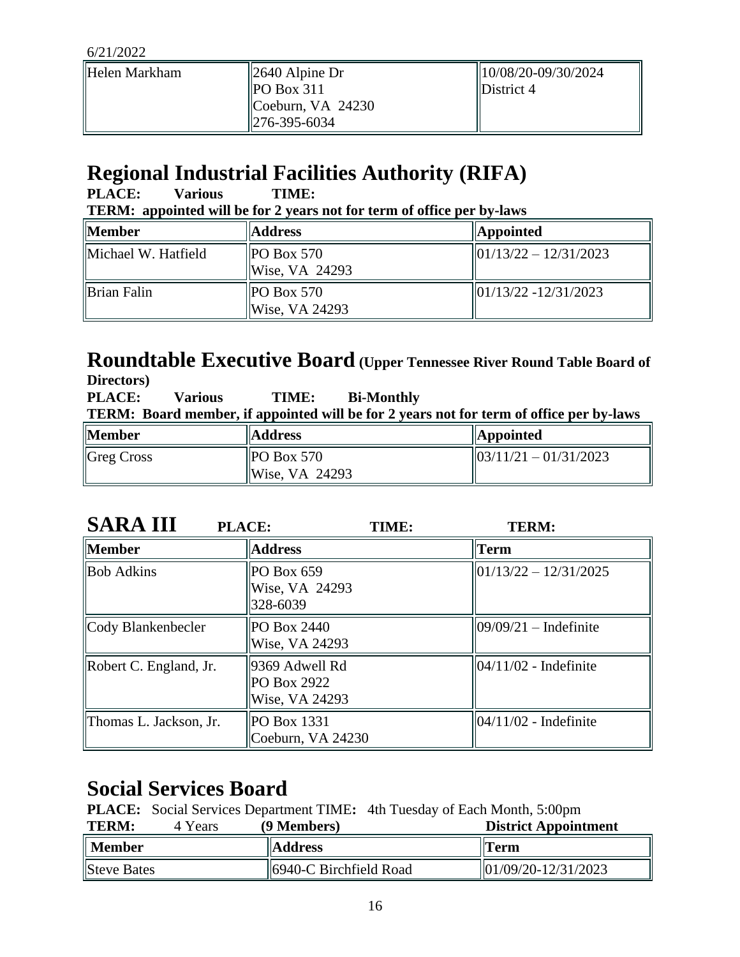| Helen Markham | $\parallel$ 2640 Alpine Dr             | $  10/08/20-09/30/2024$        |
|---------------|----------------------------------------|--------------------------------|
|               | $P$ O Box 311<br>$ $ Coeburn, VA 24230 | $\mathbf{ID}\text{istrict}\,4$ |
|               | $\parallel$ 276-395-6034               |                                |

# **Regional Industrial Facilities Authority (RIFA)**

| <b>PLACE:</b><br>Various<br>TIME:<br><b>TERM:</b> appointed will be for 2 years not for term of office per by-laws |                                      |                                                        |  |
|--------------------------------------------------------------------------------------------------------------------|--------------------------------------|--------------------------------------------------------|--|
| <b>Member</b>                                                                                                      | <b>Address</b>                       | <b>Appointed</b>                                       |  |
| Michael W. Hatfield                                                                                                | $\vert$ PO Box 570<br>Wise, VA 24293 | $\frac{1}{01}{13/22} - \frac{12}{31/2023}$             |  |
| Brian Falin                                                                                                        | $PO$ Box 570<br>Wise, VA 24293       | $\left  \frac{01}{13/22} - \frac{12}{31/2023} \right $ |  |

#### **Roundtable Executive Board (Upper Tennessee River Round Table Board of Directors)**

| <b>DILCUULS</b><br><b>PLACE:</b> | <b>Various</b> | TIME:                                    | <b>Bi-Monthly</b> | <b>TERM:</b> Board member, if appointed will be for 2 years not for term of office per by-laws |
|----------------------------------|----------------|------------------------------------------|-------------------|------------------------------------------------------------------------------------------------|
| <b>Member</b>                    |                | <b>Address</b>                           |                   | <b>Appointed</b>                                                                               |
| $\parallel$ Greg Cross           |                | $\parallel$ PO Box 570<br>Wise, VA 24293 |                   | $\frac{1}{03}/\frac{11}{21} - \frac{01}{31}/\frac{2023}{2023}$                                 |

| <b>SARA III</b>        | <b>PLACE:</b><br>TIME:                          | <b>TERM:</b>              |
|------------------------|-------------------------------------------------|---------------------------|
| <b>Member</b>          | <b>Address</b>                                  | <b>Term</b>               |
| <b>Bob Adkins</b>      | PO Box 659<br>Wise, VA 24293<br>328-6039        | $ 01/13/22 - 12/31/2025 $ |
| Cody Blankenbecler     | PO Box 2440<br>Wise, VA 24293                   | $ 09/09/21 -$ Indefinite  |
| Robert C. England, Jr. | 9369 Adwell Rd<br>PO Box 2922<br>Wise, VA 24293 | $ 04/11/02 - Indefinite$  |
| Thomas L. Jackson, Jr. | <b>PO Box 1331</b><br>Coeburn, VA 24230         | $ 04/11/02 - Indefinite$  |

# **Social Services Board**

|  |  |  |  | <b>PLACE:</b> Social Services Department TIME: 4th Tuesday of Each Month, 5:00pm |
|--|--|--|--|----------------------------------------------------------------------------------|
|--|--|--|--|----------------------------------------------------------------------------------|

| <b>TERM:</b><br>4 Years | (9 Members)            | <b>District Appointment</b> |
|-------------------------|------------------------|-----------------------------|
| $\parallel$ Member      | <b>Address</b>         | <b>Term</b>                 |
| Steve Bates             | 6940-C Birchfield Road | 01/09/20-12/31/2023         |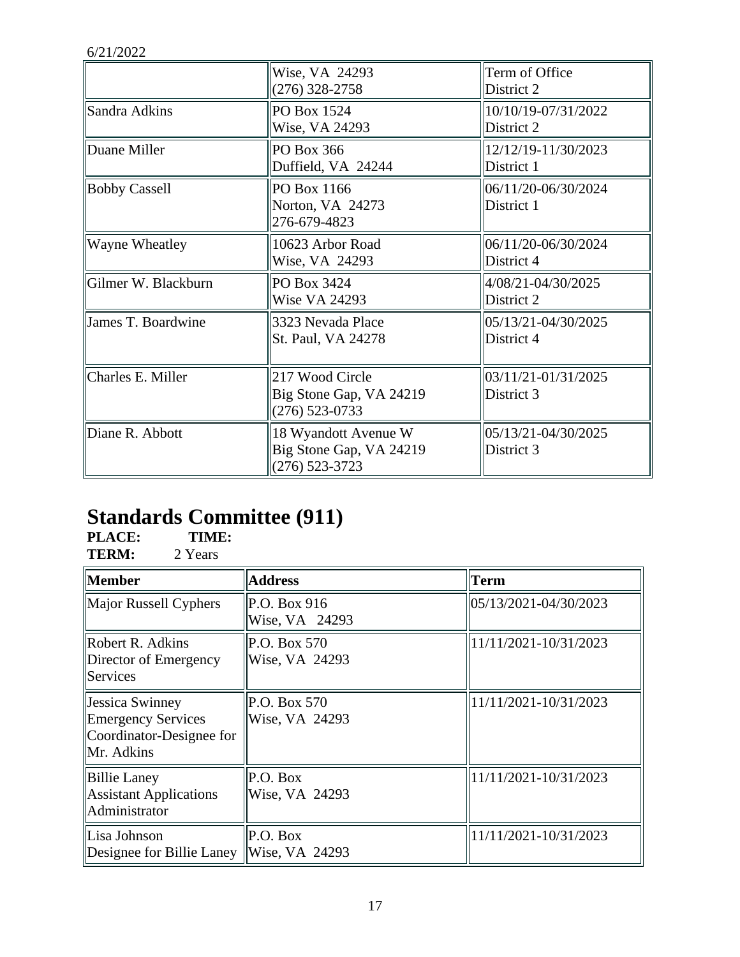|                       | Wise, VA 24293<br>$(276)$ 328-2758                                | Term of Office<br>District 2      |
|-----------------------|-------------------------------------------------------------------|-----------------------------------|
| Sandra Adkins         | PO Box 1524<br>Wise, VA 24293                                     | 10/10/19-07/31/2022<br>District 2 |
| Duane Miller          | PO Box 366<br>Duffield, VA 24244                                  | 12/12/19-11/30/2023<br>District 1 |
| <b>Bobby Cassell</b>  | PO Box 1166<br>Norton, VA 24273<br>276-679-4823                   | 06/11/20-06/30/2024<br>District 1 |
| <b>Wayne Wheatley</b> | 10623 Arbor Road<br>Wise, VA 24293                                | 06/11/20-06/30/2024<br>District 4 |
| Gilmer W. Blackburn   | PO Box 3424<br>Wise VA 24293                                      | 4/08/21-04/30/2025<br>District 2  |
| James T. Boardwine    | 3323 Nevada Place<br>St. Paul, VA 24278                           | 05/13/21-04/30/2025<br>District 4 |
| Charles E. Miller     | 217 Wood Circle<br>Big Stone Gap, VA 24219<br>$(276)$ 523-0733    | 03/11/21-01/31/2025<br>District 3 |
| Diane R. Abbott       | 18 Wyandott Avenue W<br>Big Stone Gap, VA 24219<br>(276) 523-3723 | 05/13/21-04/30/2025<br>District 3 |

# **Standards Committee (911)**

**PLACE: TIME: TERM:** 2 Years

| <b>Member</b>                                                                                         | <b>Address</b>                 | Term                  |
|-------------------------------------------------------------------------------------------------------|--------------------------------|-----------------------|
| Major Russell Cyphers                                                                                 | P.O. Box 916<br>Wise, VA 24293 | 05/13/2021-04/30/2023 |
| Robert R. Adkins<br>Director of Emergency<br><b>Services</b>                                          | P.O. Box 570<br>Wise, VA 24293 | 11/11/2021-10/31/2023 |
| <b>Jessica Swinney</b><br><b>Emergency Services</b><br>Coordinator-Designee for<br><b>IMr.</b> Adkins | P.O. Box 570<br>Wise, VA 24293 | 11/11/2021-10/31/2023 |
| Billie Laney<br>Assistant Applications<br>  Administrator                                             | P.O. Box<br>Wise, VA 24293     | 11/11/2021-10/31/2023 |
| Lisa Johnson<br>Designee for Billie Laney                                                             | P.O. Box<br>Wise, VA 24293     | 11/11/2021-10/31/2023 |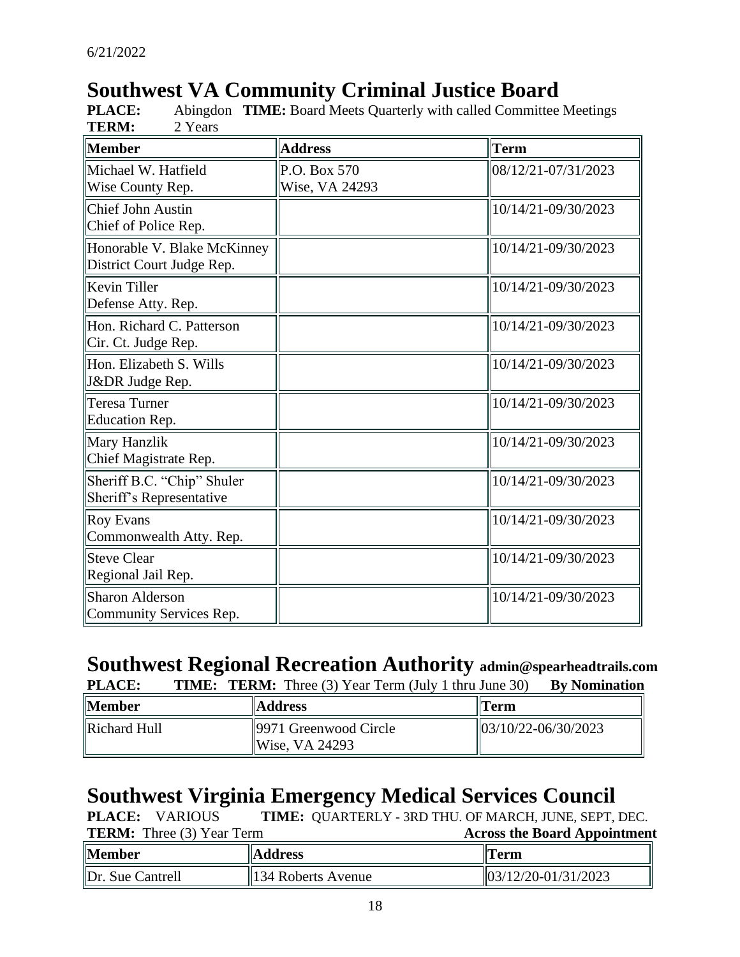# **Southwest VA Community Criminal Justice Board**

| Member                                                   | <b>Address</b>                 | Term                |
|----------------------------------------------------------|--------------------------------|---------------------|
| Michael W. Hatfield<br>Wise County Rep.                  | P.O. Box 570<br>Wise, VA 24293 | 08/12/21-07/31/2023 |
| <b>Chief John Austin</b><br>Chief of Police Rep.         |                                | 10/14/21-09/30/2023 |
| Honorable V. Blake McKinney<br>District Court Judge Rep. |                                | 10/14/21-09/30/2023 |
| Kevin Tiller<br>Defense Atty. Rep.                       |                                | 10/14/21-09/30/2023 |
| Hon. Richard C. Patterson<br>Cir. Ct. Judge Rep.         |                                | 10/14/21-09/30/2023 |
| Hon. Elizabeth S. Wills<br>J&DR Judge Rep.               |                                | 10/14/21-09/30/2023 |
| <b>Teresa Turner</b><br>Education Rep.                   |                                | 10/14/21-09/30/2023 |
| Mary Hanzlik<br>Chief Magistrate Rep.                    |                                | 10/14/21-09/30/2023 |
| Sheriff B.C. "Chip" Shuler<br>Sheriff's Representative   |                                | 10/14/21-09/30/2023 |
| <b>Roy Evans</b><br>Commonwealth Atty. Rep.              |                                | 10/14/21-09/30/2023 |
| <b>Steve Clear</b><br>Regional Jail Rep.                 |                                | 10/14/21-09/30/2023 |
| <b>Sharon Alderson</b><br>Community Services Rep.        |                                | 10/14/21-09/30/2023 |

**PLACE:** Abingdon **TIME:** Board Meets Quarterly with called Committee Meetings

# **Southwest Regional Recreation Authority admin@spearheadtrails.com**

| <b>PLACE:</b> |  |  |  |  |  | <b>TIME: TERM:</b> Three (3) Year Term (July 1 thru June 30) By Nomination |
|---------------|--|--|--|--|--|----------------------------------------------------------------------------|
|---------------|--|--|--|--|--|----------------------------------------------------------------------------|

| <b>Member</b> | <b>Address</b>                                      | Term                                     |
|---------------|-----------------------------------------------------|------------------------------------------|
| Richard Hull  | $\parallel$ 9971 Greenwood Circle<br>Wise, VA 24293 | $\frac{103}{10/22} - \frac{06}{30/2023}$ |

### **Southwest Virginia Emergency Medical Services Council**

**PLACE:** QUARTERLY - 3RD THU. OF MARCH, JUNE, SEPT, DEC. **PLACE:** VARIOUS

| <b>ILKM:</b> Inree (3) Year Ierm |                                | Across the Board Appointment     |
|----------------------------------|--------------------------------|----------------------------------|
| <b>Member</b>                    | <b>Address</b>                 | <b>  Term</b>                    |
| $\ $ Dr. Sue Cantrell            | $\parallel$ 134 Roberts Avenue | $\frac{103}{12220 - 01/31/2023}$ |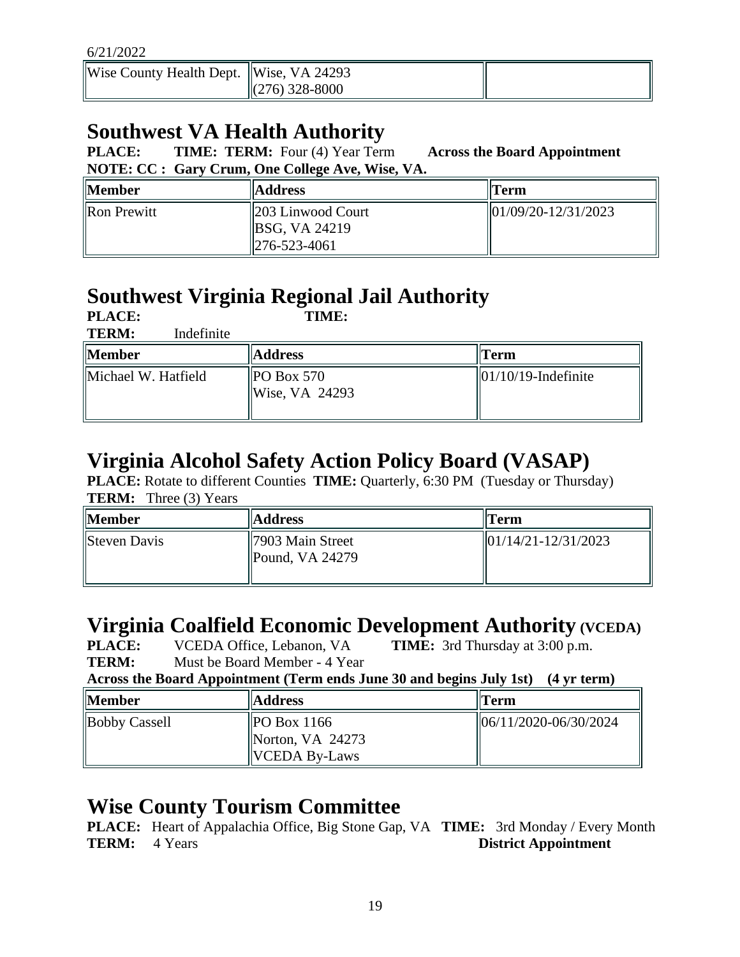| Wise County Health Dept. Wise, VA 24293 | $\parallel$ (276) 328-8000 |  |
|-----------------------------------------|----------------------------|--|
|                                         |                            |  |

# **Southwest VA Health Authority**

**PLACE: TIME: TERM:** Four (4) Year Term **Across the Board Appointment NOTE: CC : Gary Crum, One College Ave, Wise, VA.**

| <b>Member</b>      | <b>Address</b>                                                                         | Term                                     |
|--------------------|----------------------------------------------------------------------------------------|------------------------------------------|
| <b>Ron Prewitt</b> | $\parallel$ 203 Linwood Court<br>$\parallel$ BSG, VA 24219<br>$\parallel$ 276-523-4061 | $\frac{101}{09/20} - \frac{12}{31/2023}$ |

# **Southwest Virginia Regional Jail Authority**

| <b>PLACE:</b><br><b>TERM:</b><br>Indefinite | TIME:                                    |                                       |
|---------------------------------------------|------------------------------------------|---------------------------------------|
| Member                                      | <b>Address</b>                           | Term                                  |
| Michael W. Hatfield                         | $\parallel$ PO Box 570<br>Wise, VA 24293 | $\left  01/10/19 \right $ -Indefinite |

# **Virginia Alcohol Safety Action Policy Board (VASAP)**

**PLACE:** Rotate to different Counties **TIME:** Quarterly, 6:30 PM (Tuesday or Thursday) **TERM:** Three (3) Years

| Member       | <b>Address</b>                                              | Term                                                   |
|--------------|-------------------------------------------------------------|--------------------------------------------------------|
| Steven Davis | $\parallel$ 7903 Main Street<br>$\parallel$ Pound, VA 24279 | $\left  \frac{01}{14/21} - \frac{12}{31/2023} \right $ |

# **Virginia Coalfield Economic Development Authority (VCEDA)**

**PLACE:** VCEDA Office, Lebanon, VA **TIME:** 3rd Thursday at 3:00 p.m. **TERM:** Must be Board Member - 4 Year

**Across the Board Appointment (Term ends June 30 and begins July 1st) (4 yr term)**

| <b>Member</b> | <b>Address</b>                                           | Term                      |
|---------------|----------------------------------------------------------|---------------------------|
| Bobby Cassell | POBox 1166<br>Norton, VA $24273$<br><b>VCEDA By-Laws</b> | $  06/11/2020-06/30/2024$ |

# **Wise County Tourism Committee**

**PLACE:** Heart of Appalachia Office, Big Stone Gap, VA **TIME:** 3rd Monday / Every Month **TERM:** 4 Years **District Appointment**